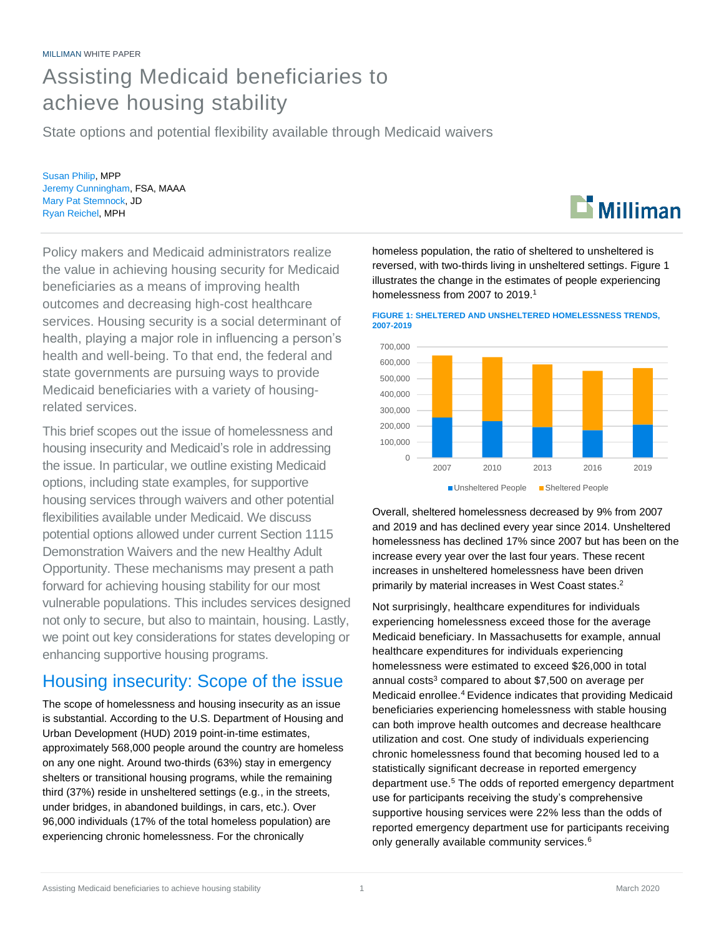# Assisting Medicaid beneficiaries to achieve housing stability

State options and potential flexibility available through Medicaid waivers

Susan Philip, MPP Jeremy Cunningham, FSA, MAAA Mary Pat Stemnock, JD Ryan Reichel, MPH

Policy makers and Medicaid administrators realize the value in achieving housing security for Medicaid beneficiaries as a means of improving health outcomes and decreasing high-cost healthcare services. Housing security is a social determinant of health, playing a major role in influencing a person's health and well-being. To that end, the federal and state governments are pursuing ways to provide Medicaid beneficiaries with a variety of housingrelated services.

This brief scopes out the issue of homelessness and housing insecurity and Medicaid's role in addressing the issue. In particular, we outline existing Medicaid options, including state examples, for supportive housing services through waivers and other potential flexibilities available under Medicaid. We discuss potential options allowed under current Section 1115 Demonstration Waivers and the new Healthy Adult Opportunity. These mechanisms may present a path forward for achieving housing stability for our most vulnerable populations. This includes services designed not only to secure, but also to maintain, housing. Lastly, we point out key considerations for states developing or enhancing supportive housing programs.

# Housing insecurity: Scope of the issue

The scope of homelessness and housing insecurity as an issue is substantial. According to the U.S. Department of Housing and Urban Development (HUD) 2019 point-in-time estimates, approximately 568,000 people around the country are homeless on any one night. Around two-thirds (63%) stay in emergency shelters or transitional housing programs, while the remaining third (37%) reside in unsheltered settings (e.g., in the streets, under bridges, in abandoned buildings, in cars, etc.). Over 96,000 individuals (17% of the total homeless population) are experiencing chronic homelessness. For the chronically

homeless population, the ratio of sheltered to unsheltered is reversed, with two-thirds living in unsheltered settings. Figure 1 illustrates the change in the estimates of people experiencing homelessness from 2007 to 2019.<sup>1</sup>





Overall, sheltered homelessness decreased by 9% from 2007 and 2019 and has declined every year since 2014. Unsheltered homelessness has declined 17% since 2007 but has been on the increase every year over the last four years. These recent increases in unsheltered homelessness have been driven primarily by material increases in West Coast states.<sup>2</sup>

Not surprisingly, healthcare expenditures for individuals experiencing homelessness exceed those for the average Medicaid beneficiary. In Massachusetts for example, annual healthcare expenditures for individuals experiencing homelessness were estimated to exceed \$26,000 in total annual costs $3$  compared to about \$7,500 on average per Medicaid enrollee.<sup>4</sup> Evidence indicates that providing Medicaid beneficiaries experiencing homelessness with stable housing can both improve health outcomes and decrease healthcare utilization and cost. One study of individuals experiencing chronic homelessness found that becoming housed led to a statistically significant decrease in reported emergency department use.<sup>5</sup> The odds of reported emergency department use for participants receiving the study's comprehensive supportive housing services were 22% less than the odds of reported emergency department use for participants receiving only generally available community services.<sup>6</sup>

# $\mathbf{E}$  Milliman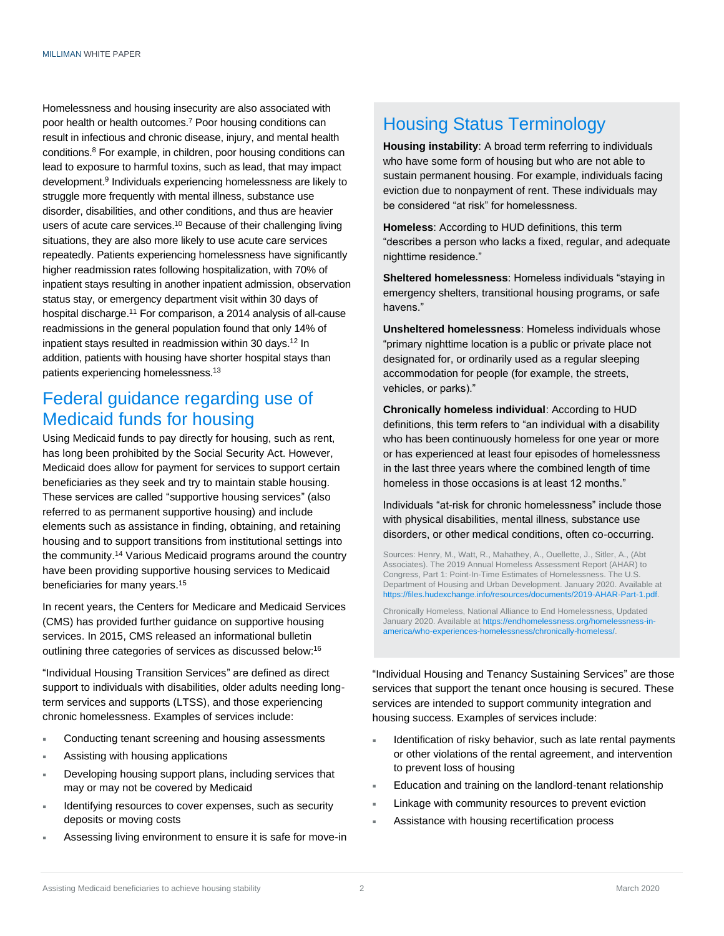Homelessness and housing insecurity are also associated with poor health or health outcomes.<sup>7</sup> Poor housing conditions can result in infectious and chronic disease, injury, and mental health conditions.<sup>8</sup> For example, in children, poor housing conditions can lead to exposure to harmful toxins, such as lead, that may impact development.<sup>9</sup> Individuals experiencing homelessness are likely to struggle more frequently with mental illness, substance use disorder, disabilities, and other conditions, and thus are heavier users of acute care services.<sup>10</sup> Because of their challenging living situations, they are also more likely to use acute care services repeatedly. Patients experiencing homelessness have significantly higher readmission rates following hospitalization, with 70% of inpatient stays resulting in another inpatient admission, observation status stay, or emergency department visit within 30 days of hospital discharge.<sup>11</sup> For comparison, a 2014 analysis of all-cause readmissions in the general population found that only 14% of inpatient stays resulted in readmission within 30 days.<sup>12</sup> In addition, patients with housing have shorter hospital stays than patients experiencing homelessness.<sup>13</sup>

## Federal guidance regarding use of Medicaid funds for housing

Using Medicaid funds to pay directly for housing, such as rent, has long been prohibited by the Social Security Act. However, Medicaid does allow for payment for services to support certain beneficiaries as they seek and try to maintain stable housing. These services are called "supportive housing services" (also referred to as permanent supportive housing) and include elements such as assistance in finding, obtaining, and retaining housing and to support transitions from institutional settings into the community.<sup>14</sup> Various Medicaid programs around the country have been providing supportive housing services to Medicaid beneficiaries for many years.<sup>15</sup>

In recent years, the Centers for Medicare and Medicaid Services (CMS) has provided further guidance on supportive housing services. In 2015, CMS released an informational bulletin outlining three categories of services as discussed below:<sup>16</sup>

"Individual Housing Transition Services" are defined as direct support to individuals with disabilities, older adults needing longterm services and supports (LTSS), and those experiencing chronic homelessness. Examples of services include:

- Conducting tenant screening and housing assessments
- Assisting with housing applications
- Developing housing support plans, including services that may or may not be covered by Medicaid
- Identifying resources to cover expenses, such as security deposits or moving costs
- Assessing living environment to ensure it is safe for move-in

### Housing Status Terminology

**Housing instability**: A broad term referring to individuals who have some form of housing but who are not able to sustain permanent housing. For example, individuals facing eviction due to nonpayment of rent. These individuals may be considered "at risk" for homelessness.

**Homeless**: According to HUD definitions, this term "describes a person who lacks a fixed, regular, and adequate nighttime residence."

**Sheltered homelessness**: Homeless individuals "staying in emergency shelters, transitional housing programs, or safe havens."

**Unsheltered homelessness**: Homeless individuals whose "primary nighttime location is a public or private place not designated for, or ordinarily used as a regular sleeping accommodation for people (for example, the streets, vehicles, or parks)."

**Chronically homeless individual**: According to HUD definitions, this term refers to "an individual with a disability who has been continuously homeless for one year or more or has experienced at least four episodes of homelessness in the last three years where the combined length of time homeless in those occasions is at least 12 months."

Individuals "at-risk for chronic homelessness" include those with physical disabilities, mental illness, substance use disorders, or other medical conditions, often co-occurring.

Sources: Henry, M., Watt, R., Mahathey, A., Ouellette, J., Sitler, A., (Abt Associates). The 2019 Annual Homeless Assessment Report (AHAR) to Congress, Part 1: Point-In-Time Estimates of Homelessness. The U.S. Department of Housing and Urban Development. January 2020. Available at [https://files.hudexchange.info/resources/documents/2019-AHAR-Part-1.pdf.](https://files.hudexchange.info/resources/documents/2019-AHAR-Part-1.pdf) 

Chronically Homeless, National Alliance to End Homelessness, Updated January 2020. Available a[t https://endhomelessness.org/homelessness-in](https://endhomelessness.org/homelessness-in-america/who-experiences-homelessness/chronically-homeless/)[america/who-experiences-homelessness/chronically-homeless/.](https://endhomelessness.org/homelessness-in-america/who-experiences-homelessness/chronically-homeless/)

"Individual Housing and Tenancy Sustaining Services" are those services that support the tenant once housing is secured. These services are intended to support community integration and housing success. Examples of services include:

- Identification of risky behavior, such as late rental payments or other violations of the rental agreement, and intervention to prevent loss of housing
- Education and training on the landlord-tenant relationship
- Linkage with community resources to prevent eviction
- Assistance with housing recertification process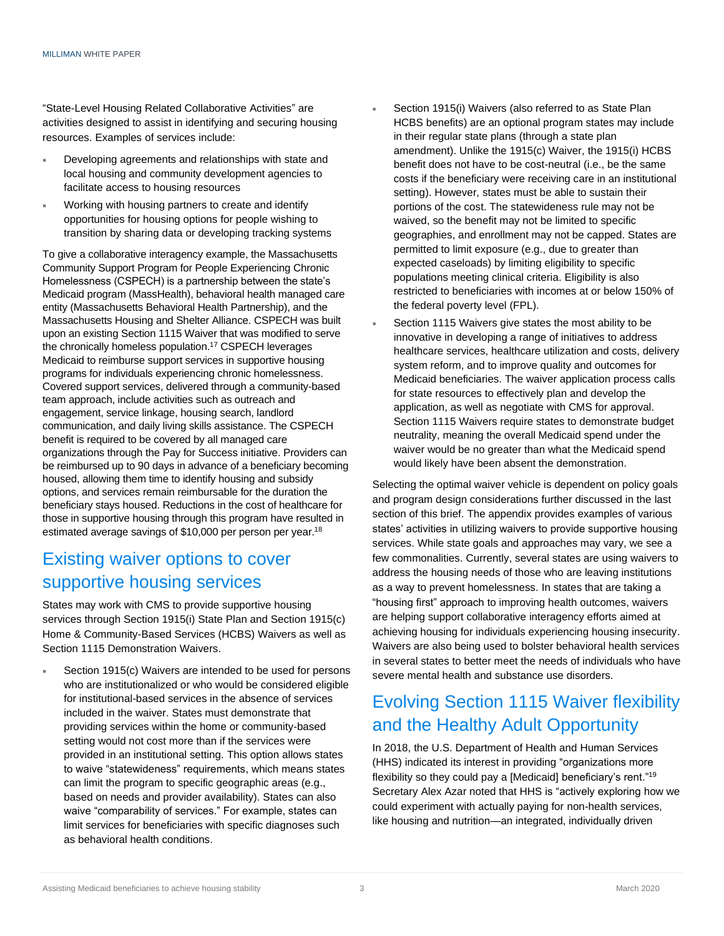"State-Level Housing Related Collaborative Activities" are activities designed to assist in identifying and securing housing resources. Examples of services include:

- Developing agreements and relationships with state and local housing and community development agencies to facilitate access to housing resources
- Working with housing partners to create and identify opportunities for housing options for people wishing to transition by sharing data or developing tracking systems

To give a collaborative interagency example, the Massachusetts Community Support Program for People Experiencing Chronic Homelessness (CSPECH) is a partnership between the state's Medicaid program (MassHealth), behavioral health managed care entity (Massachusetts Behavioral Health Partnership), and the Massachusetts Housing and Shelter Alliance. CSPECH was built upon an existing Section 1115 Waiver that was modified to serve the chronically homeless population.<sup>17</sup> CSPECH leverages Medicaid to reimburse support services in supportive housing programs for individuals experiencing chronic homelessness. Covered support services, delivered through a community-based team approach, include activities such as outreach and engagement, service linkage, housing search, landlord communication, and daily living skills assistance. The CSPECH benefit is required to be covered by all managed care organizations through the Pay for Success initiative. Providers can be reimbursed up to 90 days in advance of a beneficiary becoming housed, allowing them time to identify housing and subsidy options, and services remain reimbursable for the duration the beneficiary stays housed. Reductions in the cost of healthcare for those in supportive housing through this program have resulted in estimated average savings of \$10,000 per person per year.<sup>18</sup>

## Existing waiver options to cover supportive housing services

States may work with CMS to provide supportive housing services through Section 1915(i) State Plan and Section 1915(c) Home & Community-Based Services (HCBS) Waivers as well as Section 1115 Demonstration Waivers.

 Section 1915(c) Waivers are intended to be used for persons who are institutionalized or who would be considered eligible for institutional-based services in the absence of services included in the waiver. States must demonstrate that providing services within the home or community-based setting would not cost more than if the services were provided in an institutional setting. This option allows states to waive "statewideness" requirements, which means states can limit the program to specific geographic areas (e.g., based on needs and provider availability). States can also waive "comparability of services." For example, states can limit services for beneficiaries with specific diagnoses such as behavioral health conditions.

- Section 1915(i) Waivers (also referred to as State Plan HCBS benefits) are an optional program states may include in their regular state plans (through a state plan amendment). Unlike the 1915(c) Waiver, the 1915(i) HCBS benefit does not have to be cost-neutral (i.e., be the same costs if the beneficiary were receiving care in an institutional setting). However, states must be able to sustain their portions of the cost. The statewideness rule may not be waived, so the benefit may not be limited to specific geographies, and enrollment may not be capped. States are permitted to limit exposure (e.g., due to greater than expected caseloads) by limiting eligibility to specific populations meeting clinical criteria. Eligibility is also restricted to beneficiaries with incomes at or below 150% of the federal poverty level (FPL).
- Section 1115 Waivers give states the most ability to be innovative in developing a range of initiatives to address healthcare services, healthcare utilization and costs, delivery system reform, and to improve quality and outcomes for Medicaid beneficiaries. The waiver application process calls for state resources to effectively plan and develop the application, as well as negotiate with CMS for approval. Section 1115 Waivers require states to demonstrate budget neutrality, meaning the overall Medicaid spend under the waiver would be no greater than what the Medicaid spend would likely have been absent the demonstration.

Selecting the optimal waiver vehicle is dependent on policy goals and program design considerations further discussed in the last section of this brief. The appendix provides examples of various states' activities in utilizing waivers to provide supportive housing services. While state goals and approaches may vary, we see a few commonalities. Currently, several states are using waivers to address the housing needs of those who are leaving institutions as a way to prevent homelessness. In states that are taking a "housing first" approach to improving health outcomes, waivers are helping support collaborative interagency efforts aimed at achieving housing for individuals experiencing housing insecurity. Waivers are also being used to bolster behavioral health services in several states to better meet the needs of individuals who have severe mental health and substance use disorders.

# Evolving Section 1115 Waiver flexibility and the Healthy Adult Opportunity

In 2018, the U.S. Department of Health and Human Services (HHS) indicated its interest in providing "organizations more flexibility so they could pay a [Medicaid] beneficiary's rent."<sup>19</sup> Secretary Alex Azar noted that HHS is "actively exploring how we could experiment with actually paying for non-health services, like housing and nutrition—an integrated, individually driven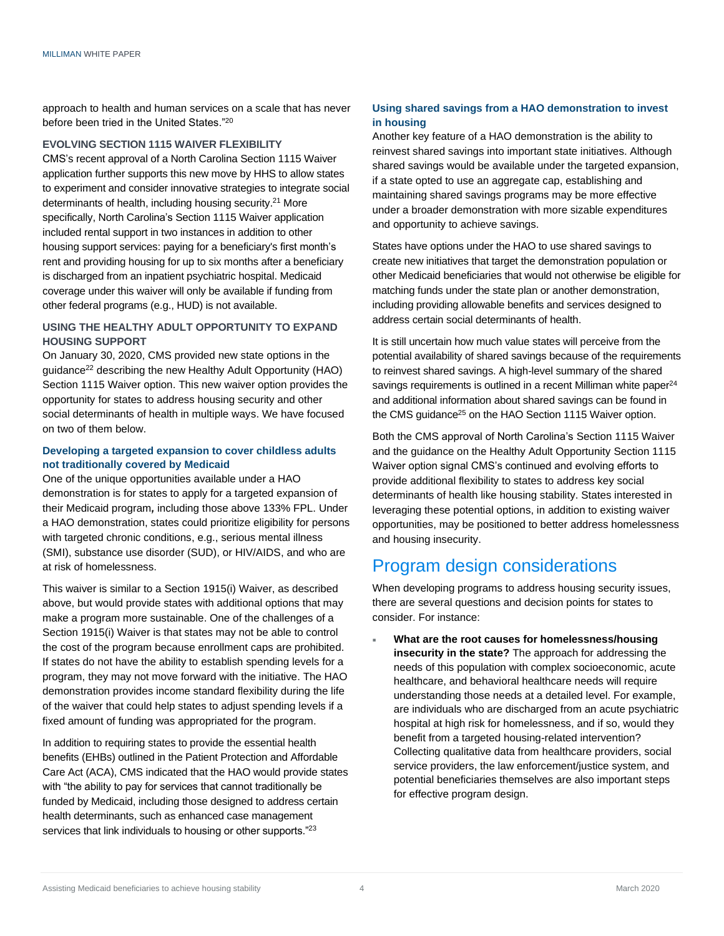approach to health and human services on a scale that has never before been tried in the United States."<sup>20</sup>

#### **EVOLVING SECTION 1115 WAIVER FLEXIBILITY**

CMS's recent approval of a North Carolina Section 1115 Waiver application further supports this new move by HHS to allow states to experiment and consider innovative strategies to integrate social determinants of health, including housing security.<sup>21</sup> More specifically, North Carolina's Section 1115 Waiver application included rental support in two instances in addition to other housing support services: paying for a beneficiary's first month's rent and providing housing for up to six months after a beneficiary is discharged from an inpatient psychiatric hospital. Medicaid coverage under this waiver will only be available if funding from other federal programs (e.g., HUD) is not available.

#### **USING THE HEALTHY ADULT OPPORTUNITY TO EXPAND HOUSING SUPPORT**

On January 30, 2020, CMS provided new state options in the guidance<sup>22</sup> describing the new Healthy Adult Opportunity (HAO) Section 1115 Waiver option. This new waiver option provides the opportunity for states to address housing security and other social determinants of health in multiple ways. We have focused on two of them below.

#### **Developing a targeted expansion to cover childless adults not traditionally covered by Medicaid**

One of the unique opportunities available under a HAO demonstration is for states to apply for a targeted expansion of their Medicaid program*,* including those above 133% FPL. Under a HAO demonstration, states could prioritize eligibility for persons with targeted chronic conditions, e.g., serious mental illness (SMI), substance use disorder (SUD), or HIV/AIDS, and who are at risk of homelessness.

This waiver is similar to a Section 1915(i) Waiver, as described above, but would provide states with additional options that may make a program more sustainable. One of the challenges of a Section 1915(i) Waiver is that states may not be able to control the cost of the program because enrollment caps are prohibited. If states do not have the ability to establish spending levels for a program, they may not move forward with the initiative. The HAO demonstration provides income standard flexibility during the life of the waiver that could help states to adjust spending levels if a fixed amount of funding was appropriated for the program.

In addition to requiring states to provide the essential health benefits (EHBs) outlined in the Patient Protection and Affordable Care Act (ACA), CMS indicated that the HAO would provide states with "the ability to pay for services that cannot traditionally be funded by Medicaid, including those designed to address certain health determinants, such as enhanced case management services that link individuals to housing or other supports."<sup>23</sup>

#### **Using shared savings from a HAO demonstration to invest in housing**

Another key feature of a HAO demonstration is the ability to reinvest shared savings into important state initiatives. Although shared savings would be available under the targeted expansion, if a state opted to use an aggregate cap, establishing and maintaining shared savings programs may be more effective under a broader demonstration with more sizable expenditures and opportunity to achieve savings.

States have options under the HAO to use shared savings to create new initiatives that target the demonstration population or other Medicaid beneficiaries that would not otherwise be eligible for matching funds under the state plan or another demonstration, including providing allowable benefits and services designed to address certain social determinants of health.

It is still uncertain how much value states will perceive from the potential availability of shared savings because of the requirements to reinvest shared savings. A high-level summary of the shared savings requirements is outlined in a recent Milliman white paper<sup>24</sup> and additional information about shared savings can be found in the CMS guidance<sup>25</sup> on the HAO Section 1115 Waiver option.

Both the CMS approval of North Carolina's Section 1115 Waiver and the guidance on the Healthy Adult Opportunity Section 1115 Waiver option signal CMS's continued and evolving efforts to provide additional flexibility to states to address key social determinants of health like housing stability. States interested in leveraging these potential options, in addition to existing waiver opportunities, may be positioned to better address homelessness and housing insecurity.

### Program design considerations

When developing programs to address housing security issues, there are several questions and decision points for states to consider. For instance:

 **What are the root causes for homelessness/housing insecurity in the state?** The approach for addressing the needs of this population with complex socioeconomic, acute healthcare, and behavioral healthcare needs will require understanding those needs at a detailed level. For example, are individuals who are discharged from an acute psychiatric hospital at high risk for homelessness, and if so, would they benefit from a targeted housing-related intervention? Collecting qualitative data from healthcare providers, social service providers, the law enforcement/justice system, and potential beneficiaries themselves are also important steps for effective program design.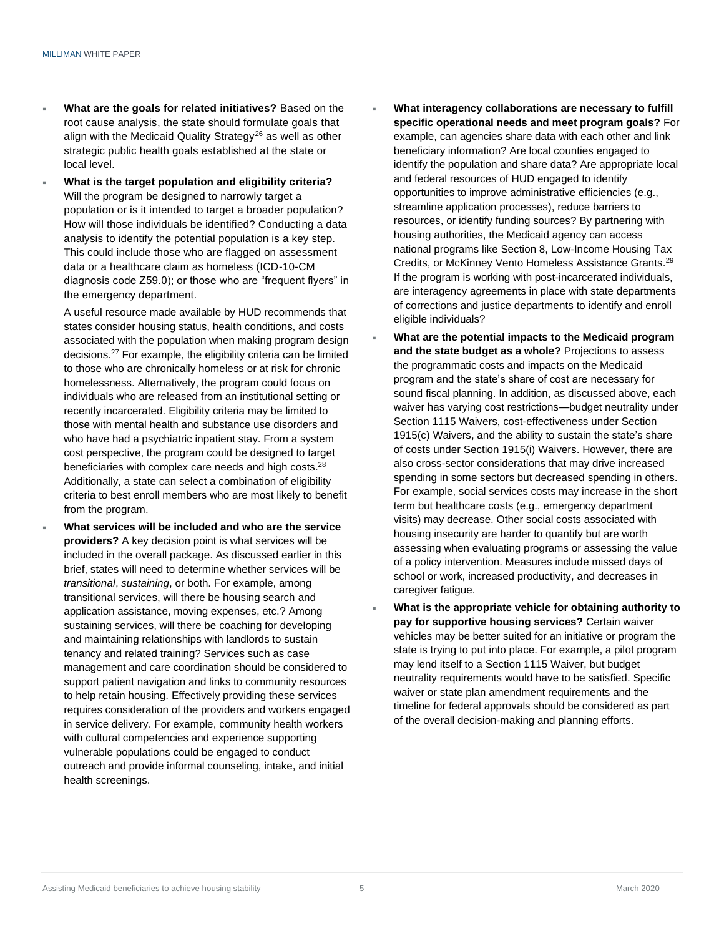- **What are the goals for related initiatives?** Based on the root cause analysis, the state should formulate goals that align with the Medicaid Quality Strategy<sup>26</sup> as well as other strategic public health goals established at the state or local level.
- **What is the target population and eligibility criteria?**  Will the program be designed to narrowly target a population or is it intended to target a broader population? How will those individuals be identified? Conducting a data analysis to identify the potential population is a key step. This could include those who are flagged on assessment data or a healthcare claim as homeless (ICD-10-CM diagnosis code Z59.0); or those who are "frequent flyers" in the emergency department.

A useful resource made available by HUD recommends that states consider housing status, health conditions, and costs associated with the population when making program design decisions.<sup>27</sup> For example, the eligibility criteria can be limited to those who are chronically homeless or at risk for chronic homelessness. Alternatively, the program could focus on individuals who are released from an institutional setting or recently incarcerated. Eligibility criteria may be limited to those with mental health and substance use disorders and who have had a psychiatric inpatient stay. From a system cost perspective, the program could be designed to target beneficiaries with complex care needs and high costs.<sup>28</sup> Additionally, a state can select a combination of eligibility criteria to best enroll members who are most likely to benefit from the program.

 **What services will be included and who are the service providers?** A key decision point is what services will be included in the overall package. As discussed earlier in this brief, states will need to determine whether services will be *transitional*, *sustaining*, or both. For example, among transitional services, will there be housing search and application assistance, moving expenses, etc.? Among sustaining services, will there be coaching for developing and maintaining relationships with landlords to sustain tenancy and related training? Services such as case management and care coordination should be considered to support patient navigation and links to community resources to help retain housing. Effectively providing these services requires consideration of the providers and workers engaged in service delivery. For example, community health workers with cultural competencies and experience supporting vulnerable populations could be engaged to conduct outreach and provide informal counseling, intake, and initial health screenings.

- **What interagency collaborations are necessary to fulfill specific operational needs and meet program goals?** For example, can agencies share data with each other and link beneficiary information? Are local counties engaged to identify the population and share data? Are appropriate local and federal resources of HUD engaged to identify opportunities to improve administrative efficiencies (e.g., streamline application processes), reduce barriers to resources, or identify funding sources? By partnering with housing authorities, the Medicaid agency can access national programs like Section 8, Low-Income Housing Tax Credits, or McKinney Vento Homeless Assistance Grants.<sup>29</sup> If the program is working with post-incarcerated individuals, are interagency agreements in place with state departments of corrections and justice departments to identify and enroll eligible individuals?
- **What are the potential impacts to the Medicaid program and the state budget as a whole?** Projections to assess the programmatic costs and impacts on the Medicaid program and the state's share of cost are necessary for sound fiscal planning. In addition, as discussed above, each waiver has varying cost restrictions—budget neutrality under Section 1115 Waivers, cost-effectiveness under Section 1915(c) Waivers, and the ability to sustain the state's share of costs under Section 1915(i) Waivers. However, there are also cross-sector considerations that may drive increased spending in some sectors but decreased spending in others. For example, social services costs may increase in the short term but healthcare costs (e.g., emergency department visits) may decrease. Other social costs associated with housing insecurity are harder to quantify but are worth assessing when evaluating programs or assessing the value of a policy intervention. Measures include missed days of school or work, increased productivity, and decreases in caregiver fatigue.
- **What is the appropriate vehicle for obtaining authority to pay for supportive housing services?** Certain waiver vehicles may be better suited for an initiative or program the state is trying to put into place. For example, a pilot program may lend itself to a Section 1115 Waiver, but budget neutrality requirements would have to be satisfied. Specific waiver or state plan amendment requirements and the timeline for federal approvals should be considered as part of the overall decision-making and planning efforts.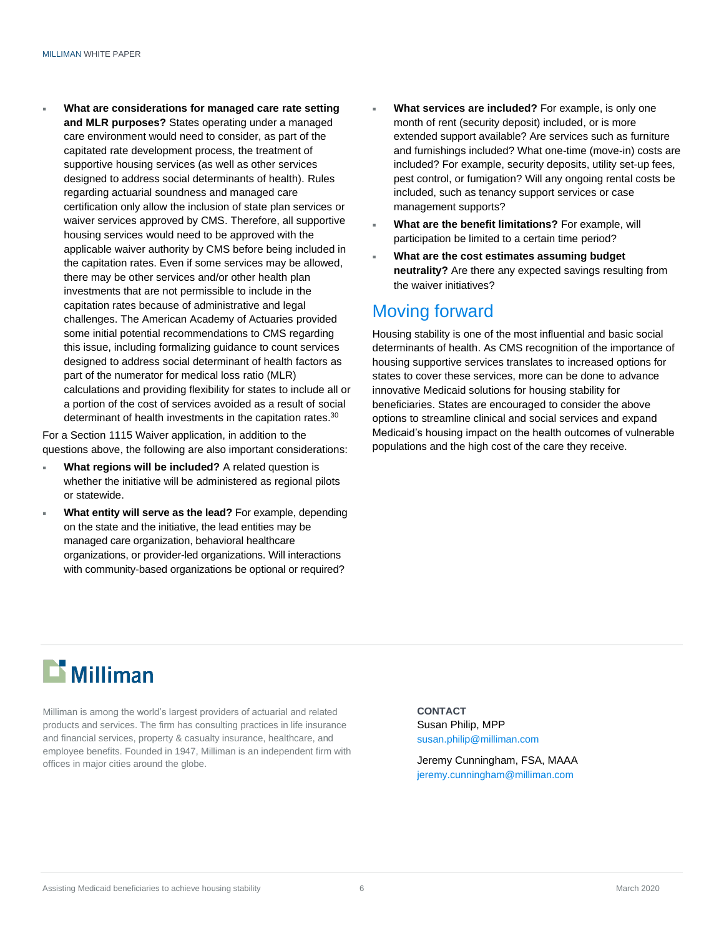**What are considerations for managed care rate setting and MLR purposes?** States operating under a managed care environment would need to consider, as part of the capitated rate development process, the treatment of supportive housing services (as well as other services designed to address social determinants of health). Rules regarding actuarial soundness and managed care certification only allow the inclusion of state plan services or waiver services approved by CMS. Therefore, all supportive housing services would need to be approved with the applicable waiver authority by CMS before being included in the capitation rates. Even if some services may be allowed, there may be other services and/or other health plan investments that are not permissible to include in the capitation rates because of administrative and legal challenges. The American Academy of Actuaries provided some initial potential recommendations to CMS regarding this issue, including formalizing guidance to count services designed to address social determinant of health factors as part of the numerator for medical loss ratio (MLR) calculations and providing flexibility for states to include all or a portion of the cost of services avoided as a result of social determinant of health investments in the capitation rates.<sup>30</sup>

For a Section 1115 Waiver application, in addition to the questions above, the following are also important considerations:

- **What regions will be included?** A related question is whether the initiative will be administered as regional pilots or statewide.
- **What entity will serve as the lead?** For example, depending on the state and the initiative, the lead entities may be managed care organization, behavioral healthcare organizations, or provider-led organizations. Will interactions with community-based organizations be optional or required?
- **What services are included?** For example, is only one month of rent (security deposit) included, or is more extended support available? Are services such as furniture and furnishings included? What one-time (move-in) costs are included? For example, security deposits, utility set-up fees, pest control, or fumigation? Will any ongoing rental costs be included, such as tenancy support services or case management supports?
- **What are the benefit limitations?** For example, will participation be limited to a certain time period?
- **What are the cost estimates assuming budget neutrality?** Are there any expected savings resulting from the waiver initiatives?

## Moving forward

Housing stability is one of the most influential and basic social determinants of health. As CMS recognition of the importance of housing supportive services translates to increased options for states to cover these services, more can be done to advance innovative Medicaid solutions for housing stability for beneficiaries. States are encouraged to consider the above options to streamline clinical and social services and expand Medicaid's housing impact on the health outcomes of vulnerable populations and the high cost of the care they receive.

# $\mathbf{\mathbf{\Sigma}}$  Milliman

Milliman is among the world's largest providers of actuarial and related products and services. The firm has consulting practices in life insurance and financial services, property & casualty insurance, healthcare, and employee benefits. Founded in 1947, Milliman is an independent firm with offices in major cities around the globe.

#### **CONTACT**

Susan Philip, MPP susan.philip@milliman.com

Jeremy Cunningham, FSA, MAAA jeremy.cunningham@milliman.com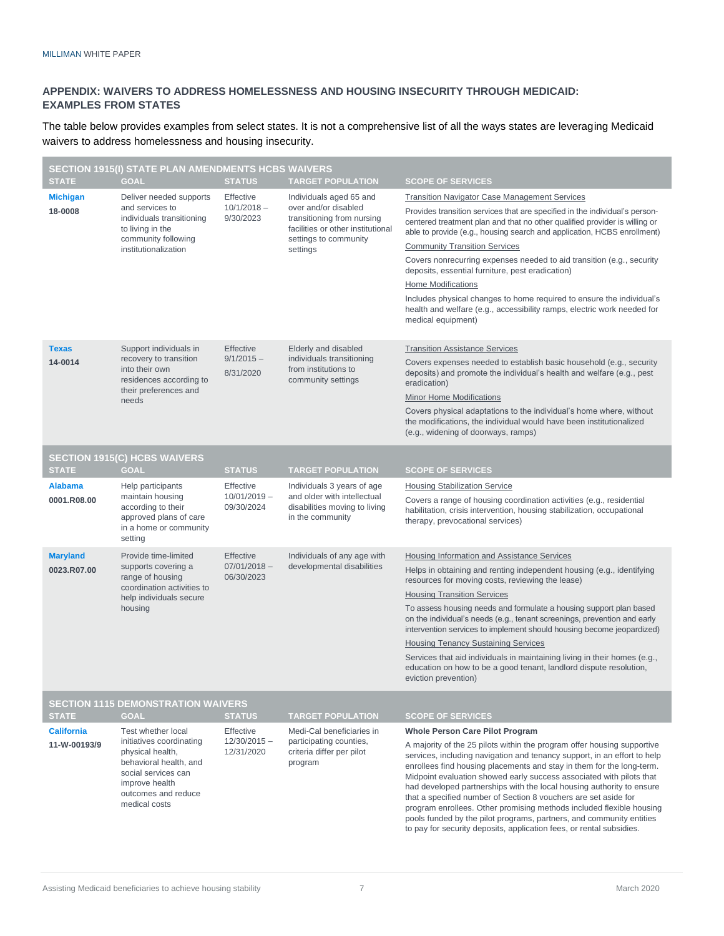#### **APPENDIX: WAIVERS TO ADDRESS HOMELESSNESS AND HOUSING INSECURITY THROUGH MEDICAID: EXAMPLES FROM STATES**

The table below provides examples from select states. It is not a comprehensive list of all the ways states are leveraging Medicaid waivers to address homelessness and housing insecurity.

| <b>SECTION 1915(I) STATE PLAN AMENDMENTS HCBS WAIVERS</b> |                                                                                                                                                                               |                                           |                                                                                                                                                         |                                                                                                                                                                                                                                                                                                                                                                                                                                                                                                                                                                                                                                                                          |  |  |  |
|-----------------------------------------------------------|-------------------------------------------------------------------------------------------------------------------------------------------------------------------------------|-------------------------------------------|---------------------------------------------------------------------------------------------------------------------------------------------------------|--------------------------------------------------------------------------------------------------------------------------------------------------------------------------------------------------------------------------------------------------------------------------------------------------------------------------------------------------------------------------------------------------------------------------------------------------------------------------------------------------------------------------------------------------------------------------------------------------------------------------------------------------------------------------|--|--|--|
| <b>STATE</b>                                              | <b>GOAL</b>                                                                                                                                                                   | <b>STATUS</b>                             | <b>TARGET POPULATION</b>                                                                                                                                | <b>SCOPE OF SERVICES</b>                                                                                                                                                                                                                                                                                                                                                                                                                                                                                                                                                                                                                                                 |  |  |  |
| <b>Michigan</b><br>18-0008                                | Deliver needed supports<br>and services to<br>individuals transitioning<br>to living in the<br>community following<br>institutionalization                                    | Effective<br>$10/1/2018 -$<br>9/30/2023   | Individuals aged 65 and<br>over and/or disabled<br>transitioning from nursing<br>facilities or other institutional<br>settings to community<br>settings | <b>Transition Navigator Case Management Services</b>                                                                                                                                                                                                                                                                                                                                                                                                                                                                                                                                                                                                                     |  |  |  |
|                                                           |                                                                                                                                                                               |                                           |                                                                                                                                                         | Provides transition services that are specified in the individual's person-<br>centered treatment plan and that no other qualified provider is willing or<br>able to provide (e.g., housing search and application, HCBS enrollment)                                                                                                                                                                                                                                                                                                                                                                                                                                     |  |  |  |
|                                                           |                                                                                                                                                                               |                                           |                                                                                                                                                         | <b>Community Transition Services</b>                                                                                                                                                                                                                                                                                                                                                                                                                                                                                                                                                                                                                                     |  |  |  |
|                                                           |                                                                                                                                                                               |                                           |                                                                                                                                                         | Covers nonrecurring expenses needed to aid transition (e.g., security<br>deposits, essential furniture, pest eradication)                                                                                                                                                                                                                                                                                                                                                                                                                                                                                                                                                |  |  |  |
|                                                           |                                                                                                                                                                               |                                           |                                                                                                                                                         | <b>Home Modifications</b>                                                                                                                                                                                                                                                                                                                                                                                                                                                                                                                                                                                                                                                |  |  |  |
|                                                           |                                                                                                                                                                               |                                           |                                                                                                                                                         | Includes physical changes to home required to ensure the individual's<br>health and welfare (e.g., accessibility ramps, electric work needed for<br>medical equipment)                                                                                                                                                                                                                                                                                                                                                                                                                                                                                                   |  |  |  |
| <b>Texas</b>                                              | Support individuals in<br>recovery to transition<br>into their own<br>residences according to<br>their preferences and<br>needs                                               | Effective<br>$9/1/2015 -$<br>8/31/2020    | Elderly and disabled<br>individuals transitioning<br>from institutions to<br>community settings                                                         | <b>Transition Assistance Services</b>                                                                                                                                                                                                                                                                                                                                                                                                                                                                                                                                                                                                                                    |  |  |  |
| 14-0014                                                   |                                                                                                                                                                               |                                           |                                                                                                                                                         | Covers expenses needed to establish basic household (e.g., security<br>deposits) and promote the individual's health and welfare (e.g., pest<br>eradication)                                                                                                                                                                                                                                                                                                                                                                                                                                                                                                             |  |  |  |
|                                                           |                                                                                                                                                                               |                                           |                                                                                                                                                         | <b>Minor Home Modifications</b>                                                                                                                                                                                                                                                                                                                                                                                                                                                                                                                                                                                                                                          |  |  |  |
|                                                           |                                                                                                                                                                               |                                           |                                                                                                                                                         | Covers physical adaptations to the individual's home where, without<br>the modifications, the individual would have been institutionalized<br>(e.g., widening of doorways, ramps)                                                                                                                                                                                                                                                                                                                                                                                                                                                                                        |  |  |  |
|                                                           | <b>SECTION 1915(C) HCBS WAIVERS</b>                                                                                                                                           |                                           |                                                                                                                                                         |                                                                                                                                                                                                                                                                                                                                                                                                                                                                                                                                                                                                                                                                          |  |  |  |
| <b>STATE</b>                                              | <b>GOAL</b>                                                                                                                                                                   | <b>STATUS</b>                             | <b>TARGET POPULATION</b>                                                                                                                                | <b>SCOPE OF SERVICES</b>                                                                                                                                                                                                                                                                                                                                                                                                                                                                                                                                                                                                                                                 |  |  |  |
| <b>Alabama</b>                                            | Help participants<br>maintain housing<br>according to their<br>approved plans of care<br>in a home or community<br>setting                                                    | Effective<br>$10/01/2019 -$<br>09/30/2024 | Individuals 3 years of age<br>and older with intellectual<br>disabilities moving to living<br>in the community                                          | <b>Housing Stabilization Service</b>                                                                                                                                                                                                                                                                                                                                                                                                                                                                                                                                                                                                                                     |  |  |  |
| 0001.R08.00                                               |                                                                                                                                                                               |                                           |                                                                                                                                                         | Covers a range of housing coordination activities (e.g., residential<br>habilitation, crisis intervention, housing stabilization, occupational<br>therapy, prevocational services)                                                                                                                                                                                                                                                                                                                                                                                                                                                                                       |  |  |  |
| <b>Maryland</b>                                           | Provide time-limited<br>supports covering a<br>range of housing<br>coordination activities to<br>help individuals secure<br>housing                                           | Effective<br>$07/01/2018 -$<br>06/30/2023 | Individuals of any age with<br>developmental disabilities                                                                                               | Housing Information and Assistance Services                                                                                                                                                                                                                                                                                                                                                                                                                                                                                                                                                                                                                              |  |  |  |
| 0023.R07.00                                               |                                                                                                                                                                               |                                           |                                                                                                                                                         | Helps in obtaining and renting independent housing (e.g., identifying<br>resources for moving costs, reviewing the lease)                                                                                                                                                                                                                                                                                                                                                                                                                                                                                                                                                |  |  |  |
|                                                           |                                                                                                                                                                               |                                           |                                                                                                                                                         | <b>Housing Transition Services</b>                                                                                                                                                                                                                                                                                                                                                                                                                                                                                                                                                                                                                                       |  |  |  |
|                                                           |                                                                                                                                                                               |                                           |                                                                                                                                                         | To assess housing needs and formulate a housing support plan based<br>on the individual's needs (e.g., tenant screenings, prevention and early<br>intervention services to implement should housing become jeopardized)                                                                                                                                                                                                                                                                                                                                                                                                                                                  |  |  |  |
|                                                           |                                                                                                                                                                               |                                           |                                                                                                                                                         | <b>Housing Tenancy Sustaining Services</b>                                                                                                                                                                                                                                                                                                                                                                                                                                                                                                                                                                                                                               |  |  |  |
|                                                           |                                                                                                                                                                               |                                           |                                                                                                                                                         | Services that aid individuals in maintaining living in their homes (e.g.,<br>education on how to be a good tenant, landlord dispute resolution,<br>eviction prevention)                                                                                                                                                                                                                                                                                                                                                                                                                                                                                                  |  |  |  |
| <b>SECTION 1115 DEMONSTRATION WAIVERS</b>                 |                                                                                                                                                                               |                                           |                                                                                                                                                         |                                                                                                                                                                                                                                                                                                                                                                                                                                                                                                                                                                                                                                                                          |  |  |  |
| <b>STATE</b>                                              | <b>GOAL</b>                                                                                                                                                                   | <b>STATUS</b>                             | <b>TARGET POPULATION</b>                                                                                                                                | <b>SCOPE OF SERVICES</b>                                                                                                                                                                                                                                                                                                                                                                                                                                                                                                                                                                                                                                                 |  |  |  |
| <b>California</b>                                         | Test whether local<br>initiatives coordinating<br>physical health,<br>behavioral health, and<br>social services can<br>improve health<br>outcomes and reduce<br>medical costs | Effective<br>$12/30/2015 -$<br>12/31/2020 | Medi-Cal beneficiaries in<br>participating counties,<br>criteria differ per pilot<br>program                                                            | <b>Whole Person Care Pilot Program</b>                                                                                                                                                                                                                                                                                                                                                                                                                                                                                                                                                                                                                                   |  |  |  |
| 11-W-00193/9                                              |                                                                                                                                                                               |                                           |                                                                                                                                                         | A majority of the 25 pilots within the program offer housing supportive<br>services, including navigation and tenancy support, in an effort to help<br>enrollees find housing placements and stay in them for the long-term.<br>Midpoint evaluation showed early success associated with pilots that<br>had developed partnerships with the local housing authority to ensure<br>that a specified number of Section 8 vouchers are set aside for<br>program enrollees. Other promising methods included flexible housing<br>pools funded by the pilot programs, partners, and community entities<br>to pay for security deposits, application fees, or rental subsidies. |  |  |  |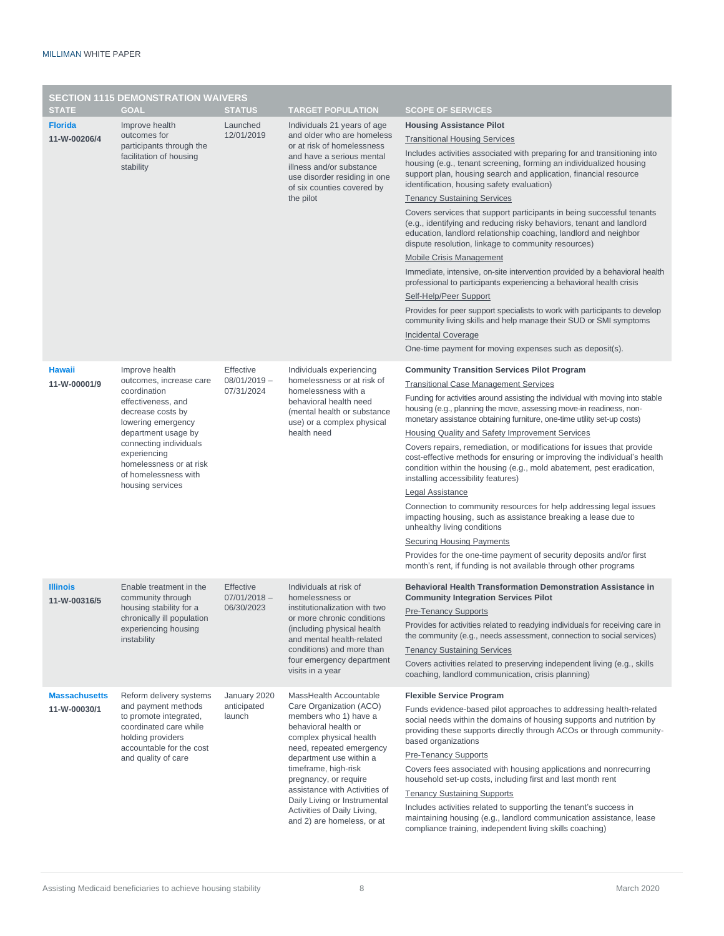| <b>SECTION 1115 DEMONSTRATION WAIVERS</b> |                                                                                                                                                                                                                       |                                           |                                                                                                                                                                                                                                                                                                                                                                     |                                                                                                                                                                                                                                                                                                          |  |  |  |  |
|-------------------------------------------|-----------------------------------------------------------------------------------------------------------------------------------------------------------------------------------------------------------------------|-------------------------------------------|---------------------------------------------------------------------------------------------------------------------------------------------------------------------------------------------------------------------------------------------------------------------------------------------------------------------------------------------------------------------|----------------------------------------------------------------------------------------------------------------------------------------------------------------------------------------------------------------------------------------------------------------------------------------------------------|--|--|--|--|
| <b>STATE</b>                              | <b>GOAL</b>                                                                                                                                                                                                           | <b>STATUS</b>                             | <b>TARGET POPULATION</b>                                                                                                                                                                                                                                                                                                                                            | <b>SCOPE OF SERVICES</b>                                                                                                                                                                                                                                                                                 |  |  |  |  |
| <b>Florida</b><br>11-W-00206/4            | Improve health<br>outcomes for<br>participants through the<br>facilitation of housing<br>stability                                                                                                                    | Launched<br>12/01/2019                    | Individuals 21 years of age<br>and older who are homeless<br>or at risk of homelessness<br>and have a serious mental<br>illness and/or substance<br>use disorder residing in one<br>of six counties covered by<br>the pilot                                                                                                                                         | <b>Housing Assistance Pilot</b>                                                                                                                                                                                                                                                                          |  |  |  |  |
|                                           |                                                                                                                                                                                                                       |                                           |                                                                                                                                                                                                                                                                                                                                                                     | <b>Transitional Housing Services</b><br>Includes activities associated with preparing for and transitioning into<br>housing (e.g., tenant screening, forming an individualized housing<br>support plan, housing search and application, financial resource<br>identification, housing safety evaluation) |  |  |  |  |
|                                           |                                                                                                                                                                                                                       |                                           |                                                                                                                                                                                                                                                                                                                                                                     | <b>Tenancy Sustaining Services</b>                                                                                                                                                                                                                                                                       |  |  |  |  |
|                                           |                                                                                                                                                                                                                       |                                           |                                                                                                                                                                                                                                                                                                                                                                     | Covers services that support participants in being successful tenants<br>(e.g., identifying and reducing risky behaviors, tenant and landlord<br>education, landlord relationship coaching, landlord and neighbor<br>dispute resolution, linkage to community resources)                                 |  |  |  |  |
|                                           |                                                                                                                                                                                                                       |                                           |                                                                                                                                                                                                                                                                                                                                                                     | Mobile Crisis Management                                                                                                                                                                                                                                                                                 |  |  |  |  |
|                                           |                                                                                                                                                                                                                       |                                           |                                                                                                                                                                                                                                                                                                                                                                     | Immediate, intensive, on-site intervention provided by a behavioral health<br>professional to participants experiencing a behavioral health crisis                                                                                                                                                       |  |  |  |  |
|                                           |                                                                                                                                                                                                                       |                                           |                                                                                                                                                                                                                                                                                                                                                                     | Self-Help/Peer Support                                                                                                                                                                                                                                                                                   |  |  |  |  |
|                                           |                                                                                                                                                                                                                       |                                           |                                                                                                                                                                                                                                                                                                                                                                     | Provides for peer support specialists to work with participants to develop<br>community living skills and help manage their SUD or SMI symptoms                                                                                                                                                          |  |  |  |  |
|                                           |                                                                                                                                                                                                                       |                                           |                                                                                                                                                                                                                                                                                                                                                                     | <b>Incidental Coverage</b>                                                                                                                                                                                                                                                                               |  |  |  |  |
|                                           |                                                                                                                                                                                                                       |                                           |                                                                                                                                                                                                                                                                                                                                                                     | One-time payment for moving expenses such as deposit(s).                                                                                                                                                                                                                                                 |  |  |  |  |
| <b>Hawaii</b>                             | Improve health                                                                                                                                                                                                        | Effective                                 | Individuals experiencing<br>homelessness or at risk of<br>homelessness with a<br>behavioral health need<br>(mental health or substance<br>use) or a complex physical<br>health need                                                                                                                                                                                 | <b>Community Transition Services Pilot Program</b>                                                                                                                                                                                                                                                       |  |  |  |  |
| 11-W-00001/9                              | outcomes, increase care                                                                                                                                                                                               | $08/01/2019 -$<br>07/31/2024              |                                                                                                                                                                                                                                                                                                                                                                     | <b>Transitional Case Management Services</b>                                                                                                                                                                                                                                                             |  |  |  |  |
|                                           | coordination<br>effectiveness, and<br>decrease costs by<br>lowering emergency<br>department usage by<br>connecting individuals<br>experiencing<br>homelessness or at risk<br>of homelessness with<br>housing services |                                           |                                                                                                                                                                                                                                                                                                                                                                     | Funding for activities around assisting the individual with moving into stable<br>housing (e.g., planning the move, assessing move-in readiness, non-                                                                                                                                                    |  |  |  |  |
|                                           |                                                                                                                                                                                                                       |                                           |                                                                                                                                                                                                                                                                                                                                                                     | monetary assistance obtaining furniture, one-time utility set-up costs)<br><b>Housing Quality and Safety Improvement Services</b>                                                                                                                                                                        |  |  |  |  |
|                                           |                                                                                                                                                                                                                       |                                           |                                                                                                                                                                                                                                                                                                                                                                     | Covers repairs, remediation, or modifications for issues that provide                                                                                                                                                                                                                                    |  |  |  |  |
|                                           |                                                                                                                                                                                                                       |                                           |                                                                                                                                                                                                                                                                                                                                                                     | cost-effective methods for ensuring or improving the individual's health<br>condition within the housing (e.g., mold abatement, pest eradication,                                                                                                                                                        |  |  |  |  |
|                                           |                                                                                                                                                                                                                       |                                           |                                                                                                                                                                                                                                                                                                                                                                     | installing accessibility features)<br><b>Legal Assistance</b>                                                                                                                                                                                                                                            |  |  |  |  |
|                                           |                                                                                                                                                                                                                       |                                           |                                                                                                                                                                                                                                                                                                                                                                     | Connection to community resources for help addressing legal issues                                                                                                                                                                                                                                       |  |  |  |  |
|                                           |                                                                                                                                                                                                                       |                                           |                                                                                                                                                                                                                                                                                                                                                                     | impacting housing, such as assistance breaking a lease due to<br>unhealthy living conditions                                                                                                                                                                                                             |  |  |  |  |
|                                           |                                                                                                                                                                                                                       |                                           |                                                                                                                                                                                                                                                                                                                                                                     | <b>Securing Housing Payments</b>                                                                                                                                                                                                                                                                         |  |  |  |  |
|                                           |                                                                                                                                                                                                                       |                                           |                                                                                                                                                                                                                                                                                                                                                                     | Provides for the one-time payment of security deposits and/or first<br>month's rent, if funding is not available through other programs                                                                                                                                                                  |  |  |  |  |
| <b>Illinois</b><br>11-W-00316/5           | Enable treatment in the<br>community through<br>housing stability for a<br>chronically ill population<br>experiencing housing<br>instability                                                                          | Effective<br>$07/01/2018 -$<br>06/30/2023 | Individuals at risk of<br>homelessness or<br>institutionalization with two<br>or more chronic conditions<br>(including physical health)<br>and mental health-related<br>conditions) and more than<br>four emergency department<br>visits in a year                                                                                                                  | Behavioral Health Transformation Demonstration Assistance in<br><b>Community Integration Services Pilot</b>                                                                                                                                                                                              |  |  |  |  |
|                                           |                                                                                                                                                                                                                       |                                           |                                                                                                                                                                                                                                                                                                                                                                     | <b>Pre-Tenancy Supports</b>                                                                                                                                                                                                                                                                              |  |  |  |  |
|                                           |                                                                                                                                                                                                                       |                                           |                                                                                                                                                                                                                                                                                                                                                                     | Provides for activities related to readying individuals for receiving care in<br>the community (e.g., needs assessment, connection to social services)                                                                                                                                                   |  |  |  |  |
|                                           |                                                                                                                                                                                                                       |                                           |                                                                                                                                                                                                                                                                                                                                                                     | <b>Tenancy Sustaining Services</b>                                                                                                                                                                                                                                                                       |  |  |  |  |
|                                           |                                                                                                                                                                                                                       |                                           |                                                                                                                                                                                                                                                                                                                                                                     | Covers activities related to preserving independent living (e.g., skills<br>coaching, landlord communication, crisis planning)                                                                                                                                                                           |  |  |  |  |
| <b>Massachusetts</b>                      | Reform delivery systems                                                                                                                                                                                               | January 2020<br>anticipated<br>launch     | MassHealth Accountable<br>Care Organization (ACO)<br>members who 1) have a<br>behavioral health or<br>complex physical health<br>need, repeated emergency<br>department use within a<br>timeframe, high-risk<br>pregnancy, or require<br>assistance with Activities of<br>Daily Living or Instrumental<br>Activities of Daily Living,<br>and 2) are homeless, or at | <b>Flexible Service Program</b>                                                                                                                                                                                                                                                                          |  |  |  |  |
| 11-W-00030/1                              | and payment methods<br>to promote integrated,                                                                                                                                                                         |                                           |                                                                                                                                                                                                                                                                                                                                                                     | Funds evidence-based pilot approaches to addressing health-related                                                                                                                                                                                                                                       |  |  |  |  |
|                                           | coordinated care while<br>holding providers<br>accountable for the cost<br>and quality of care                                                                                                                        |                                           |                                                                                                                                                                                                                                                                                                                                                                     | social needs within the domains of housing supports and nutrition by<br>providing these supports directly through ACOs or through community-<br>based organizations                                                                                                                                      |  |  |  |  |
|                                           |                                                                                                                                                                                                                       |                                           |                                                                                                                                                                                                                                                                                                                                                                     | <b>Pre-Tenancy Supports</b>                                                                                                                                                                                                                                                                              |  |  |  |  |
|                                           |                                                                                                                                                                                                                       |                                           |                                                                                                                                                                                                                                                                                                                                                                     | Covers fees associated with housing applications and nonrecurring                                                                                                                                                                                                                                        |  |  |  |  |
|                                           |                                                                                                                                                                                                                       |                                           |                                                                                                                                                                                                                                                                                                                                                                     | household set-up costs, including first and last month rent                                                                                                                                                                                                                                              |  |  |  |  |
|                                           |                                                                                                                                                                                                                       |                                           |                                                                                                                                                                                                                                                                                                                                                                     | <b>Tenancy Sustaining Supports</b>                                                                                                                                                                                                                                                                       |  |  |  |  |
|                                           |                                                                                                                                                                                                                       |                                           |                                                                                                                                                                                                                                                                                                                                                                     | Includes activities related to supporting the tenant's success in<br>maintaining housing (e.g., landlord communication assistance, lease<br>compliance training, independent living skills coaching)                                                                                                     |  |  |  |  |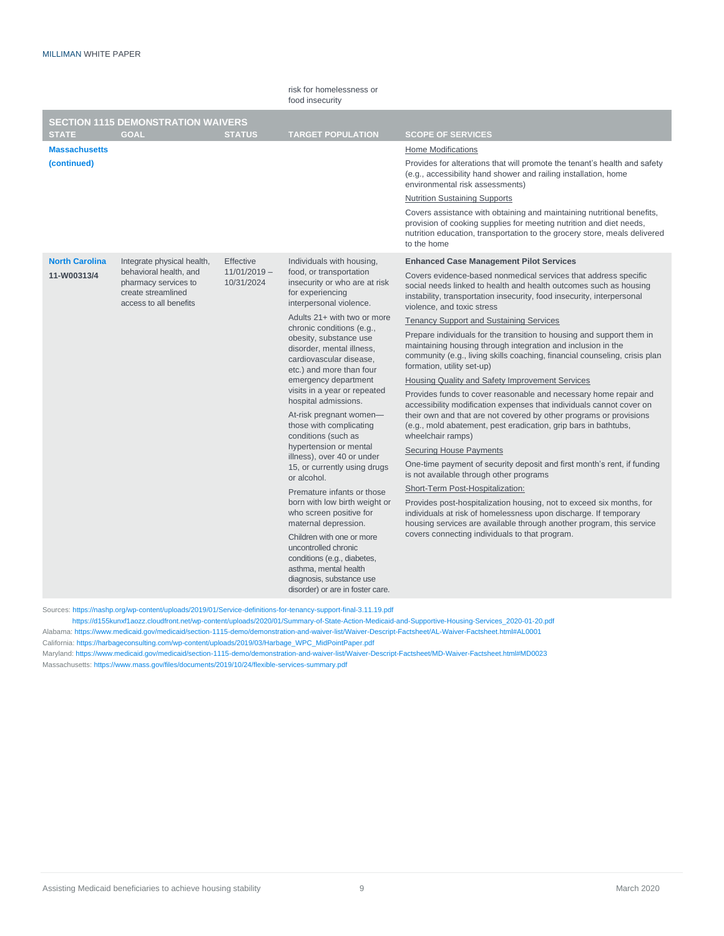|                                      |                                                                                                                              |                                           | risk for homelessness or<br>food insecurity                                                                                                                                                                                                                                                                                                                                                                                                                                                                                                                                                                                                                                                                                                                                                                                                                                       |                                                                                                                                                                                                                                                                                                                                                                                                                                                                                                                                                                                                                                                                                                                                                                                                                                                                                                                                                                                                                                                                                                                                                                                                                                                                                                                                                                                                                                             |
|--------------------------------------|------------------------------------------------------------------------------------------------------------------------------|-------------------------------------------|-----------------------------------------------------------------------------------------------------------------------------------------------------------------------------------------------------------------------------------------------------------------------------------------------------------------------------------------------------------------------------------------------------------------------------------------------------------------------------------------------------------------------------------------------------------------------------------------------------------------------------------------------------------------------------------------------------------------------------------------------------------------------------------------------------------------------------------------------------------------------------------|---------------------------------------------------------------------------------------------------------------------------------------------------------------------------------------------------------------------------------------------------------------------------------------------------------------------------------------------------------------------------------------------------------------------------------------------------------------------------------------------------------------------------------------------------------------------------------------------------------------------------------------------------------------------------------------------------------------------------------------------------------------------------------------------------------------------------------------------------------------------------------------------------------------------------------------------------------------------------------------------------------------------------------------------------------------------------------------------------------------------------------------------------------------------------------------------------------------------------------------------------------------------------------------------------------------------------------------------------------------------------------------------------------------------------------------------|
| <b>STATE</b>                         | <b>SECTION 1115 DEMONSTRATION WAIVERS</b><br><b>GOAL</b>                                                                     | <b>STATUS</b>                             | <b>TARGET POPULATION</b>                                                                                                                                                                                                                                                                                                                                                                                                                                                                                                                                                                                                                                                                                                                                                                                                                                                          | <b>SCOPE OF SERVICES</b>                                                                                                                                                                                                                                                                                                                                                                                                                                                                                                                                                                                                                                                                                                                                                                                                                                                                                                                                                                                                                                                                                                                                                                                                                                                                                                                                                                                                                    |
| <b>Massachusetts</b><br>(continued)  |                                                                                                                              |                                           |                                                                                                                                                                                                                                                                                                                                                                                                                                                                                                                                                                                                                                                                                                                                                                                                                                                                                   | Home Modifications<br>Provides for alterations that will promote the tenant's health and safety<br>(e.g., accessibility hand shower and railing installation, home<br>environmental risk assessments)<br><b>Nutrition Sustaining Supports</b><br>Covers assistance with obtaining and maintaining nutritional benefits,<br>provision of cooking supplies for meeting nutrition and diet needs,<br>nutrition education, transportation to the grocery store, meals delivered<br>to the home                                                                                                                                                                                                                                                                                                                                                                                                                                                                                                                                                                                                                                                                                                                                                                                                                                                                                                                                                  |
| <b>North Carolina</b><br>11-W00313/4 | Integrate physical health,<br>behavioral health, and<br>pharmacy services to<br>create streamlined<br>access to all benefits | Effective<br>$11/01/2019 -$<br>10/31/2024 | Individuals with housing,<br>food, or transportation<br>insecurity or who are at risk<br>for experiencing<br>interpersonal violence.<br>Adults 21+ with two or more<br>chronic conditions (e.g.,<br>obesity, substance use<br>disorder, mental illness,<br>cardiovascular disease,<br>etc.) and more than four<br>emergency department<br>visits in a year or repeated<br>hospital admissions.<br>At-risk pregnant women-<br>those with complicating<br>conditions (such as<br>hypertension or mental<br>illness), over 40 or under<br>15, or currently using drugs<br>or alcohol.<br>Premature infants or those<br>born with low birth weight or<br>who screen positive for<br>maternal depression.<br>Children with one or more<br>uncontrolled chronic<br>conditions (e.g., diabetes,<br>asthma, mental health<br>diagnosis, substance use<br>disorder) or are in foster care. | <b>Enhanced Case Management Pilot Services</b><br>Covers evidence-based nonmedical services that address specific<br>social needs linked to health and health outcomes such as housing<br>instability, transportation insecurity, food insecurity, interpersonal<br>violence, and toxic stress<br><b>Tenancy Support and Sustaining Services</b><br>Prepare individuals for the transition to housing and support them in<br>maintaining housing through integration and inclusion in the<br>community (e.g., living skills coaching, financial counseling, crisis plan<br>formation, utility set-up)<br><b>Housing Quality and Safety Improvement Services</b><br>Provides funds to cover reasonable and necessary home repair and<br>accessibility modification expenses that individuals cannot cover on<br>their own and that are not covered by other programs or provisions<br>(e.g., mold abatement, pest eradication, grip bars in bathtubs,<br>wheelchair ramps)<br><b>Securing House Payments</b><br>One-time payment of security deposit and first month's rent, if funding<br>is not available through other programs<br>Short-Term Post-Hospitalization:<br>Provides post-hospitalization housing, not to exceed six months, for<br>individuals at risk of homelessness upon discharge. If temporary<br>housing services are available through another program, this service<br>covers connecting individuals to that program. |

Sources[: https://nashp.org/wp-content/uploads/2019/01/Service-definitions-for-tenancy-support-final-3.11.19.pdf](https://nashp.org/wp-content/uploads/2019/01/Service-definitions-for-tenancy-support-final-3.11.19.pdf)

 [https://d155kunxf1aozz.cloudfront.net/wp-content/uploads/2020/01/Summary-of-State-Action-Medicaid-and-Supportive-Housing-Services\\_2020-01-20.pdf](https://d155kunxf1aozz.cloudfront.net/wp-content/uploads/2020/01/Summary-of-State-Action-Medicaid-and-Supportive-Housing-Services_2020-01-20.pdf) Alabama[: https://www.medicaid.gov/medicaid/section-1115-demo/demonstration-and-waiver-list/Waiver-Descript-Factsheet/AL-Waiver-Factsheet.html#AL0001](https://www.medicaid.gov/medicaid/section-1115-demo/demonstration-and-waiver-list/Waiver-Descript-Factsheet/AL-Waiver-Factsheet.html#AL0001)

California[: https://harbageconsulting.com/wp-content/uploads/2019/03/Harbage\\_WPC\\_MidPointPaper.pdf](https://harbageconsulting.com/wp-content/uploads/2019/03/Harbage_WPC_MidPointPaper.pdf)

Maryland[: https://www.medicaid.gov/medicaid/section-1115-demo/demonstration-and-waiver-list/Waiver-Descript-Factsheet/MD-Waiver-Factsheet.html#MD0023](https://www.medicaid.gov/medicaid/section-1115-demo/demonstration-and-waiver-list/Waiver-Descript-Factsheet/MD-Waiver-Factsheet.html#MD0023) Massachusetts[: https://www.mass.gov/files/documents/2019/10/24/flexible-services-summary.pdf](https://www.mass.gov/files/documents/2019/10/24/flexible-services-summary.pdf)